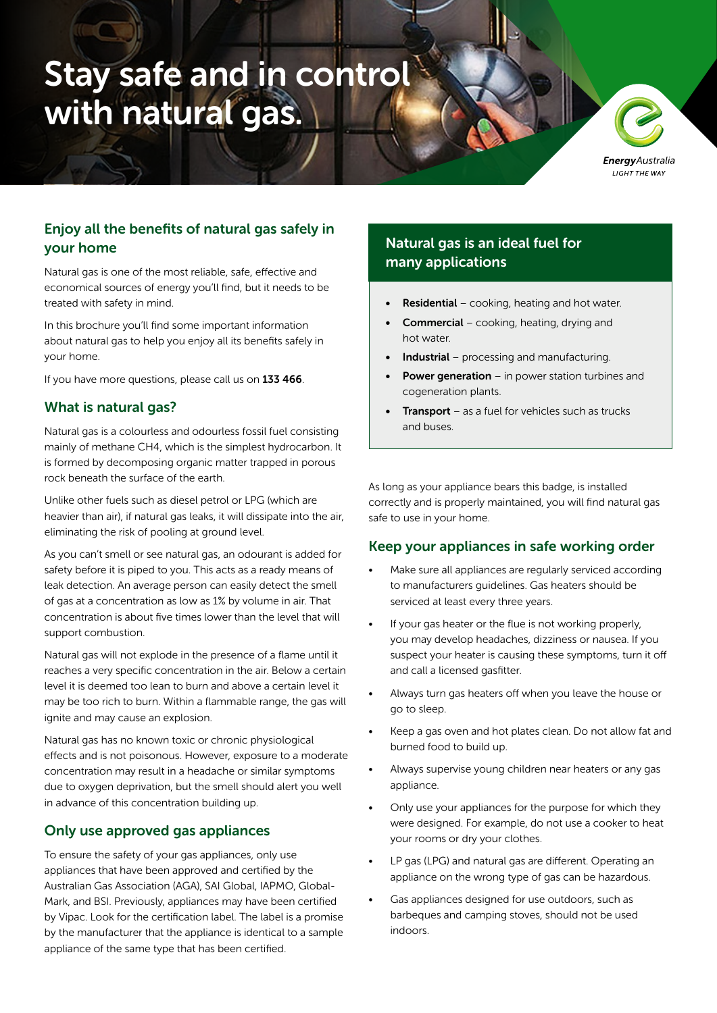# Stay safe and in control with natural gas.

**Energy** Australia LIGHT THE WAY

# Enjoy all the benefits of natural gas safely in your home

Natural gas is one of the most reliable, safe, effective and economical sources of energy you'll find, but it needs to be treated with safety in mind.

In this brochure you'll find some important information about natural gas to help you enjoy all its benefits safely in your home.

If you have more questions, please call us on 133 466.

#### What is natural gas?

Natural gas is a colourless and odourless fossil fuel consisting mainly of methane CH4, which is the simplest hydrocarbon. It is formed by decomposing organic matter trapped in porous rock beneath the surface of the earth.

Unlike other fuels such as diesel petrol or LPG (which are heavier than air), if natural gas leaks, it will dissipate into the air, eliminating the risk of pooling at ground level.

As you can't smell or see natural gas, an odourant is added for safety before it is piped to you. This acts as a ready means of leak detection. An average person can easily detect the smell of gas at a concentration as low as 1% by volume in air. That concentration is about five times lower than the level that will support combustion.

Natural gas will not explode in the presence of a flame until it reaches a very specific concentration in the air. Below a certain level it is deemed too lean to burn and above a certain level it may be too rich to burn. Within a flammable range, the gas will ignite and may cause an explosion.

Natural gas has no known toxic or chronic physiological effects and is not poisonous. However, exposure to a moderate concentration may result in a headache or similar symptoms due to oxygen deprivation, but the smell should alert you well in advance of this concentration building up.

#### Only use approved gas appliances

To ensure the safety of your gas appliances, only use appliances that have been approved and certified by the Australian Gas Association (AGA), SAI Global, IAPMO, Global-Mark, and BSI. Previously, appliances may have been certified by Vipac. Look for the certification label. The label is a promise by the manufacturer that the appliance is identical to a sample appliance of the same type that has been certified.

# Natural gas is an ideal fuel for many applications

- **Residential** cooking, heating and hot water.
- Commercial cooking, heating, drying and hot water.
- **Industrial** processing and manufacturing.
- **Power generation** in power station turbines and cogeneration plants.
- **Transport** as a fuel for vehicles such as trucks and buses.

As long as your appliance bears this badge, is installed correctly and is properly maintained, you will find natural gas safe to use in your home.

#### Keep your appliances in safe working order

- Make sure all appliances are regularly serviced according to manufacturers guidelines. Gas heaters should be serviced at least every three years.
- If your gas heater or the flue is not working properly, you may develop headaches, dizziness or nausea. If you suspect your heater is causing these symptoms, turn it off and call a licensed gasfitter.
- Always turn gas heaters off when you leave the house or go to sleep.
- Keep a gas oven and hot plates clean. Do not allow fat and burned food to build up.
- Always supervise young children near heaters or any gas appliance.
- Only use your appliances for the purpose for which they were designed. For example, do not use a cooker to heat your rooms or dry your clothes.
- LP gas (LPG) and natural gas are different. Operating an appliance on the wrong type of gas can be hazardous.
- Gas appliances designed for use outdoors, such as barbeques and camping stoves, should not be used indoors.